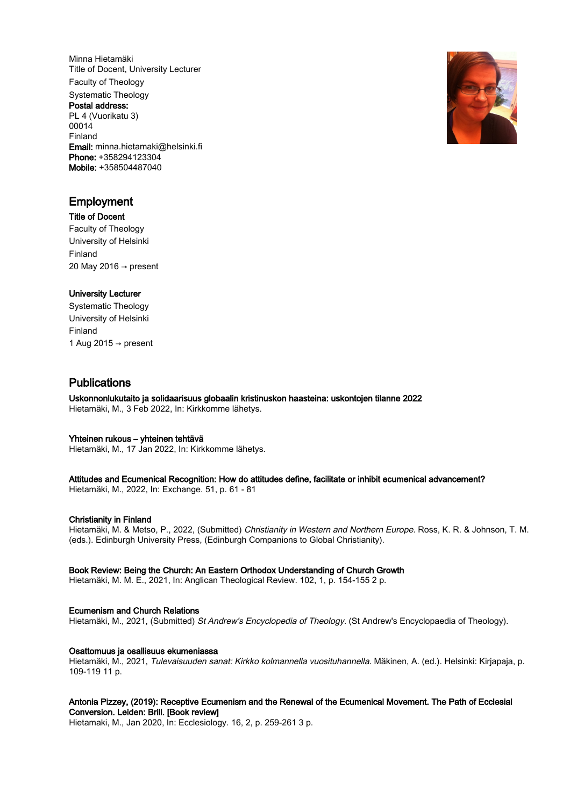Minna Hietamäki Title of Docent, University Lecturer Faculty of Theology Systematic Theology Postal address: PL 4 (Vuorikatu 3) 00014 Finland Email: minna.hietamaki@helsinki.fi Phone: +358294123304 Mobile: +358504487040



## Employment

Title of Docent Faculty of Theology University of Helsinki Finland 20 May 2016 → present

## University Lecturer

Systematic Theology University of Helsinki Finland 1 Aug 2015  $\rightarrow$  present

# Publications

Uskonnonlukutaito ja solidaarisuus globaalin kristinuskon haasteina: uskontojen tilanne 2022 Hietamäki, M., 3 Feb 2022, In: Kirkkomme lähetys.

#### Yhteinen rukous – yhteinen tehtävä

Hietamäki, M., 17 Jan 2022, In: Kirkkomme lähetys.

#### Attitudes and Ecumenical Recognition: How do attitudes define, facilitate or inhibit ecumenical advancement? Hietamäki, M., 2022, In: Exchange. 51, p. 61 - 81

## Christianity in Finland

Hietamäki, M. & Metso, P., 2022, (Submitted) Christianity in Western and Northern Europe. Ross, K. R. & Johnson, T. M. (eds.). Edinburgh University Press, (Edinburgh Companions to Global Christianity).

#### Book Review: Being the Church: An Eastern Orthodox Understanding of Church Growth

Hietamäki, M. M. E., 2021, In: Anglican Theological Review. 102, 1, p. 154-155 2 p.

## Ecumenism and Church Relations

Hietamäki, M., 2021, (Submitted) St Andrew's Encyclopedia of Theology. (St Andrew's Encyclopaedia of Theology).

#### Osattomuus ja osallisuus ekumeniassa

Hietamäki, M., 2021, Tulevaisuuden sanat: Kirkko kolmannella vuosituhannella. Mäkinen, A. (ed.). Helsinki: Kirjapaja, p. 109-119 11 p.

#### Antonia Pizzey, (2019): Receptive Ecumenism and the Renewal of the Ecumenical Movement. The Path of Ecclesial Conversion. Leiden: Brill. [Book review]

Hietamaki, M., Jan 2020, In: Ecclesiology. 16, 2, p. 259-261 3 p.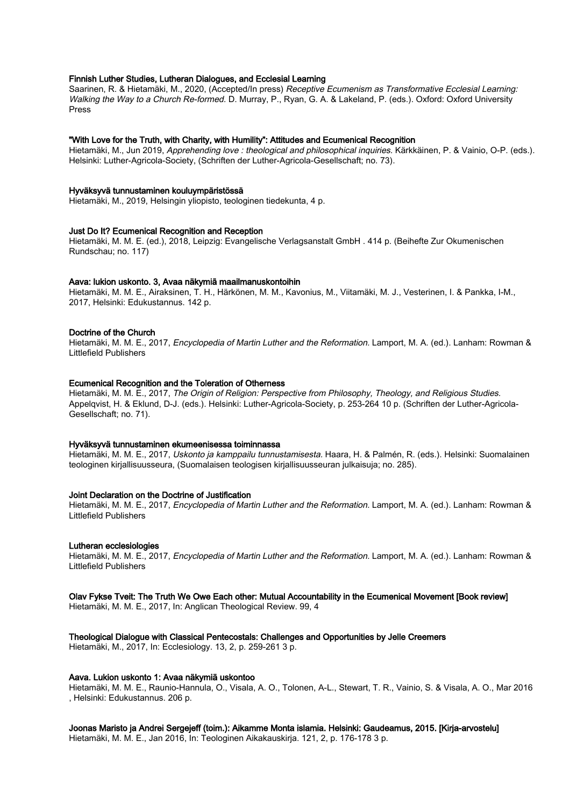#### Finnish Luther Studies, Lutheran Dialogues, and Ecclesial Learning

Saarinen, R. & Hietamäki, M., 2020, (Accepted/In press) Receptive Ecumenism as Transformative Ecclesial Learning: Walking the Way to a Church Re-formed. D. Murray, P., Ryan, G. A. & Lakeland, P. (eds.). Oxford: Oxford University Press

#### "With Love for the Truth, with Charity, with Humility": Attitudes and Ecumenical Recognition

Hietamäki, M., Jun 2019, Apprehending love : theological and philosophical inquiries. Kärkkäinen, P. & Vainio, O-P. (eds.). Helsinki: Luther-Agricola-Society, (Schriften der Luther-Agricola-Gesellschaft; no. 73).

#### Hyväksyvä tunnustaminen kouluympäristössä

Hietamäki, M., 2019, Helsingin yliopisto, teologinen tiedekunta, 4 p.

#### Just Do It? Ecumenical Recognition and Reception

Hietamäki, M. M. E. (ed.), 2018, Leipzig: Evangelische Verlagsanstalt GmbH . 414 p. (Beihefte Zur Okumenischen Rundschau; no. 117)

#### Aava: lukion uskonto. 3, Avaa näkymiä maailmanuskontoihin

Hietamäki, M. M. E., Airaksinen, T. H., Härkönen, M. M., Kavonius, M., Viitamäki, M. J., Vesterinen, I. & Pankka, I-M., 2017, Helsinki: Edukustannus. 142 p.

#### Doctrine of the Church

Hietamäki, M. M. E., 2017, *Encyclopedia of Martin Luther and the Reformation*. Lamport, M. A. (ed.). Lanham: Rowman & Littlefield Publishers

#### Ecumenical Recognition and the Toleration of Otherness

Hietamäki, M. M. E., 2017, The Origin of Religion: Perspective from Philosophy, Theology, and Religious Studies. Appelqvist, H. & Eklund, D-J. (eds.). Helsinki: Luther-Agricola-Society, p. 253-264 10 p. (Schriften der Luther-Agricola-Gesellschaft; no. 71).

#### Hyväksyvä tunnustaminen ekumeenisessa toiminnassa

Hietamäki, M. M. E., 2017, Uskonto ja kamppailu tunnustamisesta. Haara, H. & Palmén, R. (eds.). Helsinki: Suomalainen teologinen kirjallisuusseura, (Suomalaisen teologisen kirjallisuusseuran julkaisuja; no. 285).

#### Joint Declaration on the Doctrine of Justification

Hietamäki, M. M. E., 2017, *Encyclopedia of Martin Luther and the Reformation.* Lamport, M. A. (ed.). Lanham: Rowman & Littlefield Publishers

#### Lutheran ecclesiologies

Hietamäki, M. M. E., 2017, *Encyclopedia of Martin Luther and the Reformation.* Lamport, M. A. (ed.). Lanham: Rowman & Littlefield Publishers

#### Olav Fykse Tveit: The Truth We Owe Each other: Mutual Accountability in the Ecumenical Movement [Book review]

Hietamäki, M. M. E., 2017, In: Anglican Theological Review. 99, 4

#### Theological Dialogue with Classical Pentecostals: Challenges and Opportunities by Jelle Creemers

Hietamäki, M., 2017, In: Ecclesiology. 13, 2, p. 259-261 3 p.

#### Aava. Lukion uskonto 1: Avaa näkymiä uskontoo

Hietamäki, M. M. E., Raunio-Hannula, O., Visala, A. O., Tolonen, A-L., Stewart, T. R., Vainio, S. & Visala, A. O., Mar 2016 , Helsinki: Edukustannus. 206 p.

## Joonas Maristo ja Andrei Sergejeff (toim.): Aikamme Monta islamia. Helsinki: Gaudeamus, 2015. [Kirja-arvostelu]

Hietamäki, M. M. E., Jan 2016, In: Teologinen Aikakauskirja. 121, 2, p. 176-178 3 p.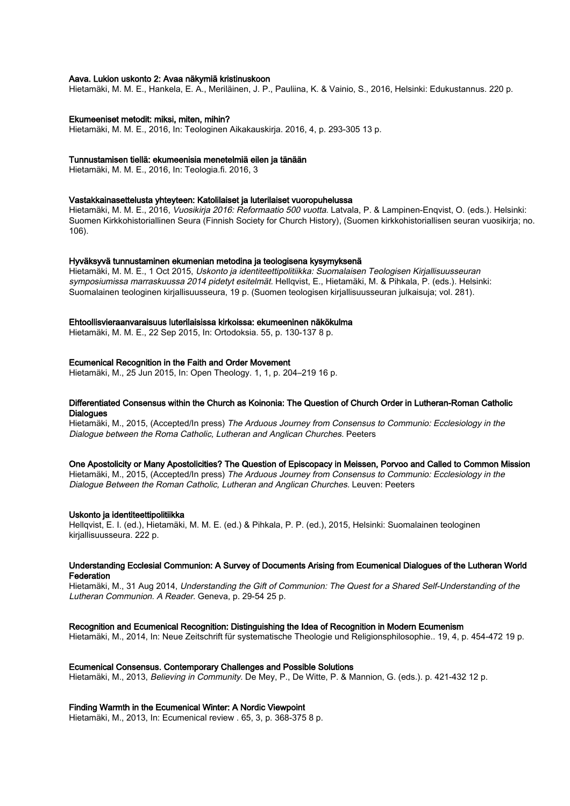#### Aava. Lukion uskonto 2: Avaa näkymiä kristinuskoon

Hietamäki, M. M. E., Hankela, E. A., Meriläinen, J. P., Pauliina, K. & Vainio, S., 2016, Helsinki: Edukustannus. 220 p.

#### Ekumeeniset metodit: miksi, miten, mihin?

Hietamäki, M. M. E., 2016, In: Teologinen Aikakauskirja. 2016, 4, p. 293-305 13 p.

#### Tunnustamisen tiellä: ekumeenisia menetelmiä eilen ja tänään

Hietamäki, M. M. E., 2016, In: Teologia.fi. 2016, 3

#### Vastakkainasettelusta yhteyteen: Katolilaiset ja luterilaiset vuoropuhelussa

Hietamäki, M. M. E., 2016, Vuosikirja 2016: Reformaatio 500 vuotta. Latvala, P. & Lampinen-Engvist, O. (eds.). Helsinki: Suomen Kirkkohistoriallinen Seura (Finnish Society for Church History), (Suomen kirkkohistoriallisen seuran vuosikirja; no. 106).

#### Hyväksyvä tunnustaminen ekumenian metodina ja teologisena kysymyksenä

Hietamäki, M. M. E., 1 Oct 2015, Uskonto ja identiteettipolitiikka: Suomalaisen Teologisen Kirjallisuusseuran symposiumissa marraskuussa 2014 pidetyt esitelmät. Hellqvist, E., Hietamäki, M. & Pihkala, P. (eds.). Helsinki: Suomalainen teologinen kirjallisuusseura, 19 p. (Suomen teologisen kirjallisuusseuran julkaisuja; vol. 281).

#### Ehtoollisvieraanvaraisuus luterilaisissa kirkoissa: ekumeeninen näkökulma

Hietamäki, M. M. E., 22 Sep 2015, In: Ortodoksia. 55, p. 130-137 8 p.

#### Ecumenical Recognition in the Faith and Order Movement

Hietamäki, M., 25 Jun 2015, In: Open Theology. 1, 1, p. 204–219 16 p.

#### Differentiated Consensus within the Church as Koinonia: The Question of Church Order in Lutheran-Roman Catholic **Dialogues**

Hietamäki, M., 2015, (Accepted/In press) The Arduous Journey from Consensus to Communio: Ecclesiology in the Dialogue between the Roma Catholic, Lutheran and Anglican Churches. Peeters

#### One Apostolicity or Many Apostolicities? The Question of Episcopacy in Meissen, Porvoo and Called to Common Mission

Hietamäki, M., 2015, (Accepted/In press) The Arduous Journey from Consensus to Communio: Ecclesiology in the Dialogue Between the Roman Catholic, Lutheran and Anglican Churches. Leuven: Peeters

#### Uskonto ja identiteettipolitiikka

Hellqvist, E. I. (ed.), Hietamäki, M. M. E. (ed.) & Pihkala, P. P. (ed.), 2015, Helsinki: Suomalainen teologinen kirjallisuusseura. 222 p.

#### Understanding Ecclesial Communion: A Survey of Documents Arising from Ecumenical Dialogues of the Lutheran World **Federation**

Hietamäki, M., 31 Aug 2014, Understanding the Gift of Communion: The Quest for a Shared Self-Understanding of the Lutheran Communion. A Reader. Geneva, p. 29-54 25 p.

#### Recognition and Ecumenical Recognition: Distinguishing the Idea of Recognition in Modern Ecumenism

Hietamäki, M., 2014, In: Neue Zeitschrift für systematische Theologie und Religionsphilosophie.. 19, 4, p. 454-472 19 p.

#### Ecumenical Consensus. Contemporary Challenges and Possible Solutions

Hietamäki, M., 2013, Believing in Community. De Mey, P., De Witte, P. & Mannion, G. (eds.). p. 421-432 12 p.

#### Finding Warmth in the Ecumenical Winter: A Nordic Viewpoint

Hietamäki, M., 2013, In: Ecumenical review . 65, 3, p. 368-375 8 p.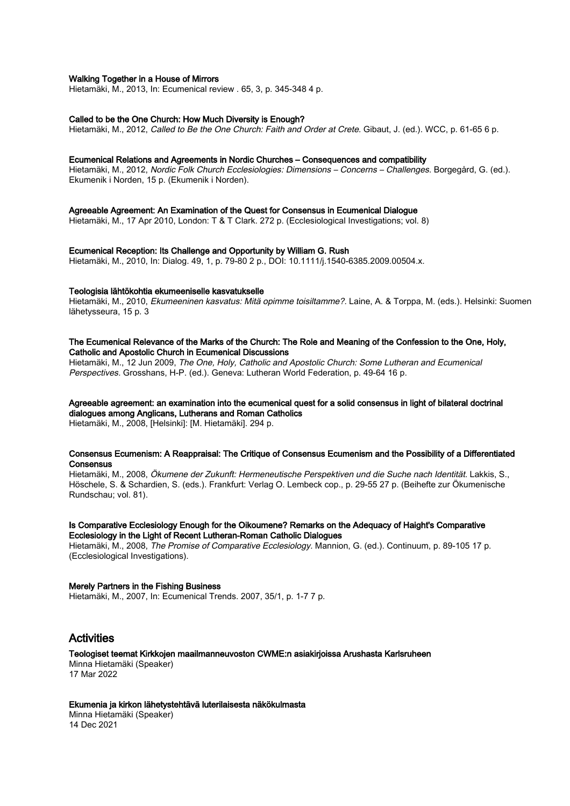#### Walking Together in a House of Mirrors

Hietamäki, M., 2013, In: Ecumenical review . 65, 3, p. 345-348 4 p.

#### Called to be the One Church: How Much Diversity is Enough?

Hietamäki, M., 2012, Called to Be the One Church: Faith and Order at Crete. Gibaut, J. (ed.). WCC, p. 61-65 6 p.

#### Ecumenical Relations and Agreements in Nordic Churches – Consequences and compatibility

Hietamäki, M., 2012, Nordic Folk Church Ecclesiologies: Dimensions – Concerns – Challenges. Borgegård, G. (ed.). Ekumenik i Norden, 15 p. (Ekumenik i Norden).

#### Agreeable Agreement: An Examination of the Quest for Consensus in Ecumenical Dialogue

Hietamäki, M., 17 Apr 2010, London: T & T Clark. 272 p. (Ecclesiological Investigations; vol. 8)

#### Ecumenical Reception: Its Challenge and Opportunity by William G. Rush

Hietamäki, M., 2010, In: Dialog. 49, 1, p. 79-80 2 p., DOI: 10.1111/j.1540-6385.2009.00504.x.

#### Teologisia lähtökohtia ekumeeniselle kasvatukselle

Hietamäki, M., 2010, Ekumeeninen kasvatus: Mitä opimme toisiltamme?. Laine, A. & Torppa, M. (eds.). Helsinki: Suomen lähetysseura, 15 p. 3

#### The Ecumenical Relevance of the Marks of the Church: The Role and Meaning of the Confession to the One, Holy, Catholic and Apostolic Church in Ecumenical Discussions

Hietamäki, M., 12 Jun 2009, The One, Holy, Catholic and Apostolic Church: Some Lutheran and Ecumenical Perspectives. Grosshans, H-P. (ed.). Geneva: Lutheran World Federation, p. 49-64 16 p.

## Agreeable agreement: an examination into the ecumenical quest for a solid consensus in light of bilateral doctrinal dialogues among Anglicans, Lutherans and Roman Catholics

Hietamäki, M., 2008, [Helsinki]: [M. Hietamäki]. 294 p.

#### Consensus Ecumenism: A Reappraisal: The Critique of Consensus Ecumenism and the Possibility of a Differentiated **Consensus**

Hietamäki, M., 2008, Ökumene der Zukunft: Hermeneutische Perspektiven und die Suche nach Identität. Lakkis, S., Höschele, S. & Schardien, S. (eds.). Frankfurt: Verlag O. Lembeck cop., p. 29-55 27 p. (Beihefte zur Ökumenische Rundschau; vol. 81).

#### Is Comparative Ecclesiology Enough for the Oikoumene? Remarks on the Adequacy of Haight's Comparative Ecclesiology in the Light of Recent Lutheran-Roman Catholic Dialogues

Hietamäki, M., 2008, The Promise of Comparative Ecclesiology. Mannion, G. (ed.). Continuum, p. 89-105 17 p. (Ecclesiological Investigations).

#### Merely Partners in the Fishing Business

Hietamäki, M., 2007, In: Ecumenical Trends. 2007, 35/1, p. 1-7 7 p.

## Activities

## Teologiset teemat Kirkkojen maailmanneuvoston CWME:n asiakirjoissa Arushasta Karlsruheen

Minna Hietamäki (Speaker) 17 Mar 2022

#### Ekumenia ja kirkon lähetystehtävä luterilaisesta näkökulmasta

Minna Hietamäki (Speaker) 14 Dec 2021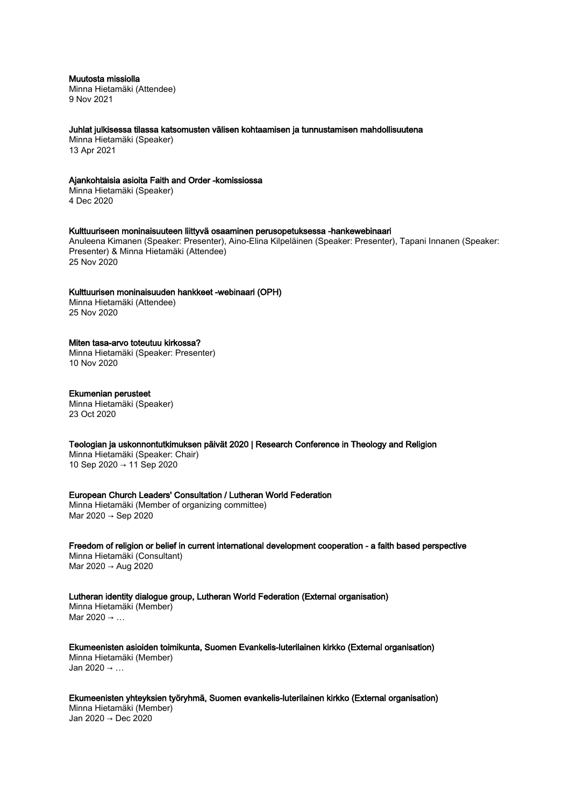Muutosta missiolla

Minna Hietamäki (Attendee) 9 Nov 2021

Juhlat julkisessa tilassa katsomusten välisen kohtaamisen ja tunnustamisen mahdollisuutena

Minna Hietamäki (Speaker) 13 Apr 2021

#### Ajankohtaisia asioita Faith and Order -komissiossa

Minna Hietamäki (Speaker) 4 Dec 2020

#### Kulttuuriseen moninaisuuteen liittyvä osaaminen perusopetuksessa -hankewebinaari

Anuleena Kimanen (Speaker: Presenter), Aino-Elina Kilpeläinen (Speaker: Presenter), Tapani Innanen (Speaker: Presenter) & Minna Hietamäki (Attendee) 25 Nov 2020

#### Kulttuurisen moninaisuuden hankkeet -webinaari (OPH)

Minna Hietamäki (Attendee) 25 Nov 2020

## Miten tasa-arvo toteutuu kirkossa?

Minna Hietamäki (Speaker: Presenter) 10 Nov 2020

#### Ekumenian perusteet

Minna Hietamäki (Speaker) 23 Oct 2020

Teologian ja uskonnontutkimuksen päivät 2020 | Research Conference in Theology and Religion

Minna Hietamäki (Speaker: Chair) 10 Sep 2020 → 11 Sep 2020

### European Church Leaders' Consultation / Lutheran World Federation

Minna Hietamäki (Member of organizing committee) Mar 2020 → Sep 2020

Freedom of religion or belief in current international development cooperation - a faith based perspective Minna Hietamäki (Consultant) Mar 2020 → Aug 2020

Lutheran identity dialogue group, Lutheran World Federation (External organisation) Minna Hietamäki (Member)

Mar 2020 → …

Ekumeenisten asioiden toimikunta, Suomen Evankelis-luterilainen kirkko (External organisation) Minna Hietamäki (Member) Jan 2020 → …

Ekumeenisten yhteyksien työryhmä, Suomen evankelis-luterilainen kirkko (External organisation) Minna Hietamäki (Member) Jan 2020 → Dec 2020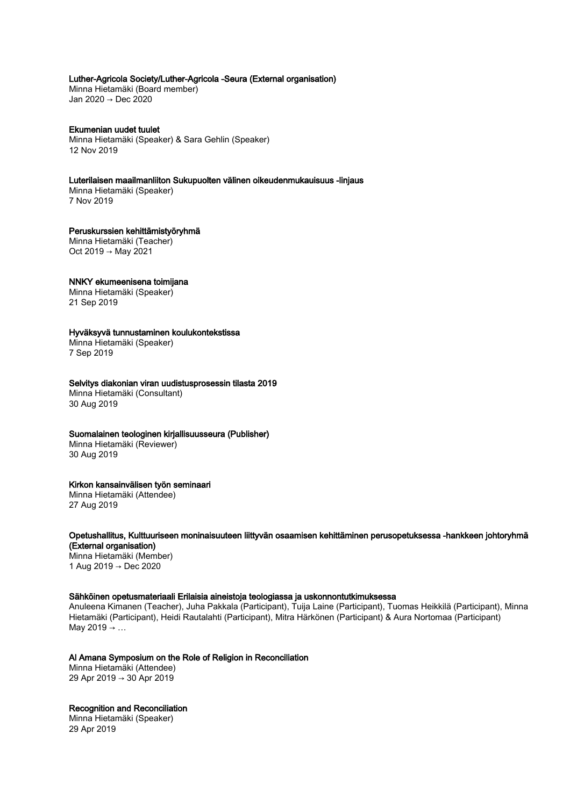## Luther-Agricola Society/Luther-Agricola -Seura (External organisation)

Minna Hietamäki (Board member) Jan 2020 → Dec 2020

Ekumenian uudet tuulet Minna Hietamäki (Speaker) & Sara Gehlin (Speaker) 12 Nov 2019

Luterilaisen maailmanliiton Sukupuolten välinen oikeudenmukauisuus -linjaus Minna Hietamäki (Speaker)

7 Nov 2019

Peruskurssien kehittämistyöryhmä Minna Hietamäki (Teacher) Oct 2019 → May 2021

## NNKY ekumeenisena toimijana

Minna Hietamäki (Speaker) 21 Sep 2019

#### Hyväksyvä tunnustaminen koulukontekstissa

Minna Hietamäki (Speaker) 7 Sep 2019

#### Selvitys diakonian viran uudistusprosessin tilasta 2019

Minna Hietamäki (Consultant) 30 Aug 2019

## Suomalainen teologinen kirjallisuusseura (Publisher)

Minna Hietamäki (Reviewer) 30 Aug 2019

#### Kirkon kansainvälisen työn seminaari

Minna Hietamäki (Attendee) 27 Aug 2019

## Opetushallitus, Kulttuuriseen moninaisuuteen liittyvän osaamisen kehittäminen perusopetuksessa -hankkeen johtoryhmä (External organisation)

Minna Hietamäki (Member) 1 Aug 2019 → Dec 2020

#### Sähköinen opetusmateriaali Erilaisia aineistoja teologiassa ja uskonnontutkimuksessa

Anuleena Kimanen (Teacher), Juha Pakkala (Participant), Tuija Laine (Participant), Tuomas Heikkilä (Participant), Minna Hietamäki (Participant), Heidi Rautalahti (Participant), Mitra Härkönen (Participant) & Aura Nortomaa (Participant) May 2019  $\rightarrow$  ...

## Al Amana Symposium on the Role of Religion in Reconciliation

Minna Hietamäki (Attendee) 29 Apr 2019 → 30 Apr 2019

## Recognition and Reconciliation

Minna Hietamäki (Speaker) 29 Apr 2019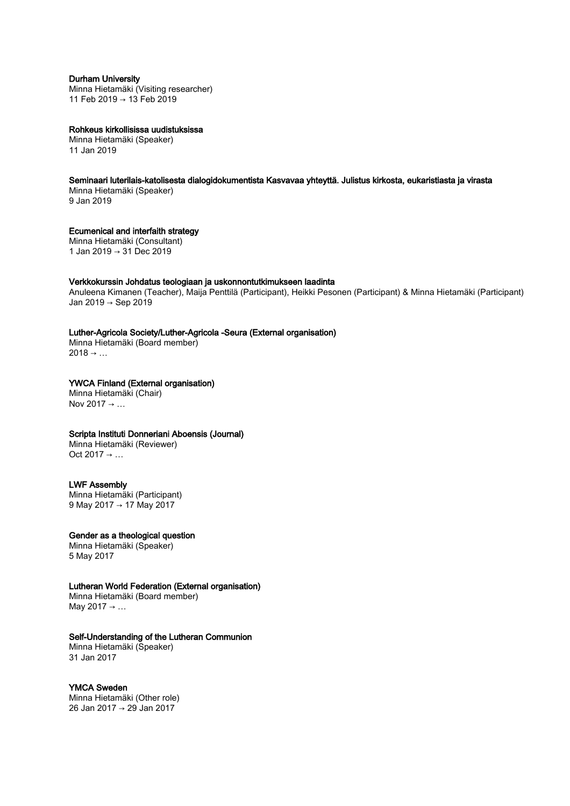## Durham University

Minna Hietamäki (Visiting researcher) 11 Feb 2019 → 13 Feb 2019

Rohkeus kirkollisissa uudistuksissa Minna Hietamäki (Speaker) 11 Jan 2019

## Seminaari luterilais-katolisesta dialogidokumentista Kasvavaa yhteyttä. Julistus kirkosta, eukaristiasta ja virasta

Minna Hietamäki (Speaker) 9 Jan 2019

Ecumenical and interfaith strategy Minna Hietamäki (Consultant) 1 Jan 2019 → 31 Dec 2019

## Verkkokurssin Johdatus teologiaan ja uskonnontutkimukseen laadinta

Anuleena Kimanen (Teacher), Maija Penttilä (Participant), Heikki Pesonen (Participant) & Minna Hietamäki (Participant) Jan 2019 → Sep 2019

## Luther-Agricola Society/Luther-Agricola -Seura (External organisation)

Minna Hietamäki (Board member)  $2018 \rightarrow ...$ 

## YWCA Finland (External organisation)

Minna Hietamäki (Chair) Nov 2017  $\rightarrow$  ...

## Scripta Instituti Donneriani Aboensis (Journal)

Minna Hietamäki (Reviewer) Oct 2017  $\rightarrow$  ...

## LWF Assembly

Minna Hietamäki (Participant) 9 May 2017 → 17 May 2017

## Gender as a theological question

Minna Hietamäki (Speaker) 5 May 2017

## Lutheran World Federation (External organisation)

Minna Hietamäki (Board member) May 2017 → …

## Self-Understanding of the Lutheran Communion

Minna Hietamäki (Speaker) 31 Jan 2017

## YMCA Sweden

Minna Hietamäki (Other role) 26 Jan 2017 → 29 Jan 2017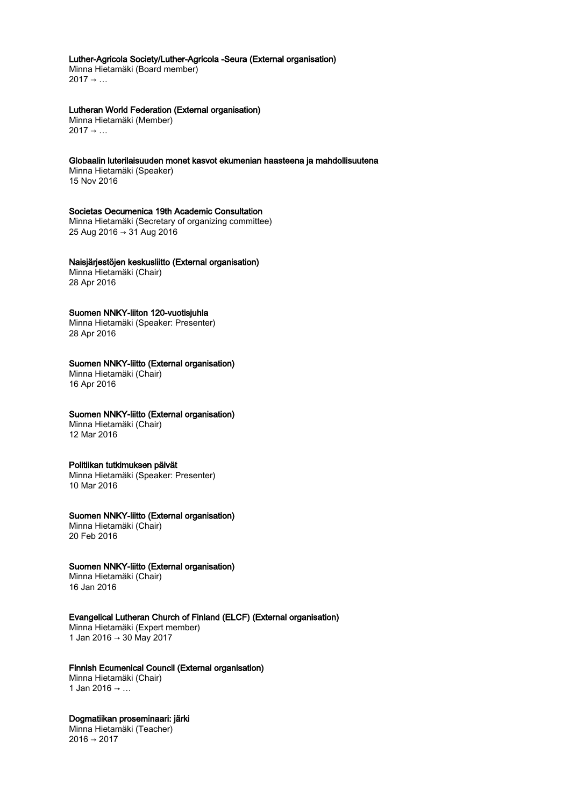## Luther-Agricola Society/Luther-Agricola -Seura (External organisation)

Minna Hietamäki (Board member)  $2017 \rightarrow ...$ 

## Lutheran World Federation (External organisation)

Minna Hietamäki (Member)  $2017 \rightarrow \ldots$ 

#### Globaalin luterilaisuuden monet kasvot ekumenian haasteena ja mahdollisuutena

Minna Hietamäki (Speaker) 15 Nov 2016

#### Societas Oecumenica 19th Academic Consultation

Minna Hietamäki (Secretary of organizing committee) 25 Aug 2016 → 31 Aug 2016

## Naisjärjestöjen keskusliitto (External organisation)

Minna Hietamäki (Chair) 28 Apr 2016

#### Suomen NNKY-liiton 120-vuotisjuhla

Minna Hietamäki (Speaker: Presenter) 28 Apr 2016

## Suomen NNKY-liitto (External organisation)

Minna Hietamäki (Chair) 16 Apr 2016

## Suomen NNKY-liitto (External organisation)

Minna Hietamäki (Chair) 12 Mar 2016

#### Politiikan tutkimuksen päivät

Minna Hietamäki (Speaker: Presenter) 10 Mar 2016

#### Suomen NNKY-liitto (External organisation)

Minna Hietamäki (Chair) 20 Feb 2016

#### Suomen NNKY-liitto (External organisation)

Minna Hietamäki (Chair) 16 Jan 2016

## Evangelical Lutheran Church of Finland (ELCF) (External organisation)

Minna Hietamäki (Expert member) 1 Jan 2016 → 30 May 2017

## Finnish Ecumenical Council (External organisation)

Minna Hietamäki (Chair) 1 Jan 2016 → …

#### Dogmatiikan proseminaari: järki

Minna Hietamäki (Teacher)  $2016 \rightarrow 2017$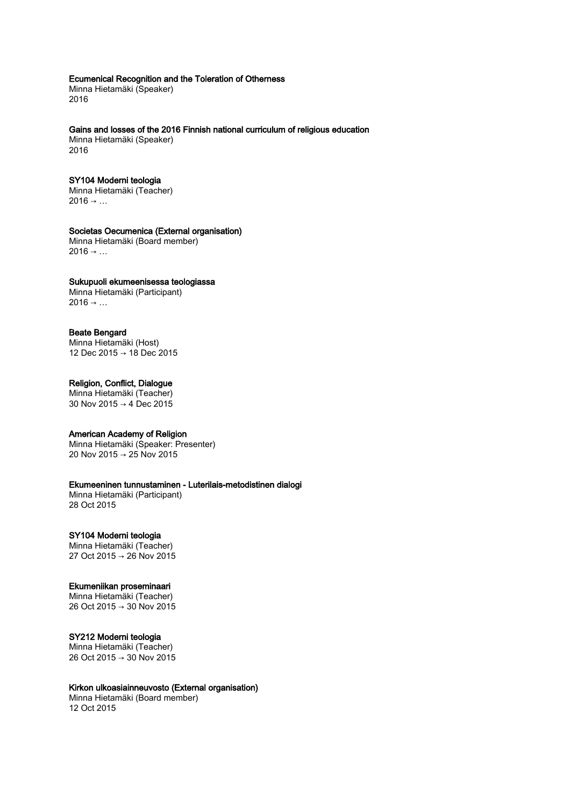#### Ecumenical Recognition and the Toleration of Otherness

Minna Hietamäki (Speaker) 2016

#### Gains and losses of the 2016 Finnish national curriculum of religious education

Minna Hietamäki (Speaker) 2016

## SY104 Moderni teologia

Minna Hietamäki (Teacher)  $2016 \rightarrow ...$ 

## Societas Oecumenica (External organisation)

Minna Hietamäki (Board member)  $2016 \rightarrow ...$ 

#### Sukupuoli ekumeenisessa teologiassa

Minna Hietamäki (Participant)  $2016 \rightarrow ...$ 

## Beate Bengard

Minna Hietamäki (Host) 12 Dec 2015 → 18 Dec 2015

#### Religion, Conflict, Dialogue

Minna Hietamäki (Teacher) 30 Nov 2015 → 4 Dec 2015

## American Academy of Religion

Minna Hietamäki (Speaker: Presenter) 20 Nov 2015 → 25 Nov 2015

## Ekumeeninen tunnustaminen - Luterilais-metodistinen dialogi

Minna Hietamäki (Participant) 28 Oct 2015

#### SY104 Moderni teologia

Minna Hietamäki (Teacher) 27 Oct 2015 → 26 Nov 2015

#### Ekumeniikan proseminaari

Minna Hietamäki (Teacher) 26 Oct 2015 → 30 Nov 2015

#### SY212 Moderni teologia

Minna Hietamäki (Teacher) 26 Oct 2015 → 30 Nov 2015

#### Kirkon ulkoasiainneuvosto (External organisation)

Minna Hietamäki (Board member) 12 Oct 2015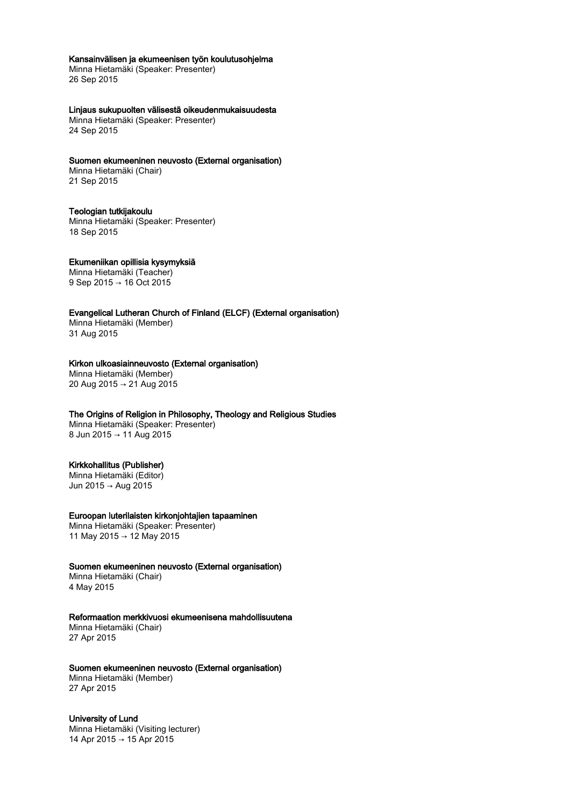#### Kansainvälisen ja ekumeenisen työn koulutusohjelma

Minna Hietamäki (Speaker: Presenter) 26 Sep 2015

## Linjaus sukupuolten välisestä oikeudenmukaisuudesta

Minna Hietamäki (Speaker: Presenter) 24 Sep 2015

## Suomen ekumeeninen neuvosto (External organisation)

Minna Hietamäki (Chair) 21 Sep 2015

#### Teologian tutkijakoulu

Minna Hietamäki (Speaker: Presenter) 18 Sep 2015

#### Ekumeniikan opillisia kysymyksiä Minna Hietamäki (Teacher)

9 Sep 2015 → 16 Oct 2015

## Evangelical Lutheran Church of Finland (ELCF) (External organisation) Minna Hietamäki (Member)

31 Aug 2015

#### Kirkon ulkoasiainneuvosto (External organisation)

Minna Hietamäki (Member) 20 Aug 2015 → 21 Aug 2015

#### The Origins of Religion in Philosophy, Theology and Religious Studies Minna Hietamäki (Speaker: Presenter)

8 Jun 2015 → 11 Aug 2015

## Kirkkohallitus (Publisher)

Minna Hietamäki (Editor) Jun 2015 → Aug 2015

#### Euroopan luterilaisten kirkonjohtajien tapaaminen

Minna Hietamäki (Speaker: Presenter) 11 May 2015 → 12 May 2015

#### Suomen ekumeeninen neuvosto (External organisation)

Minna Hietamäki (Chair) 4 May 2015

## Reformaation merkkivuosi ekumeenisena mahdollisuutena

Minna Hietamäki (Chair) 27 Apr 2015

## Suomen ekumeeninen neuvosto (External organisation)

Minna Hietamäki (Member) 27 Apr 2015

## University of Lund

Minna Hietamäki (Visiting lecturer) 14 Apr 2015 → 15 Apr 2015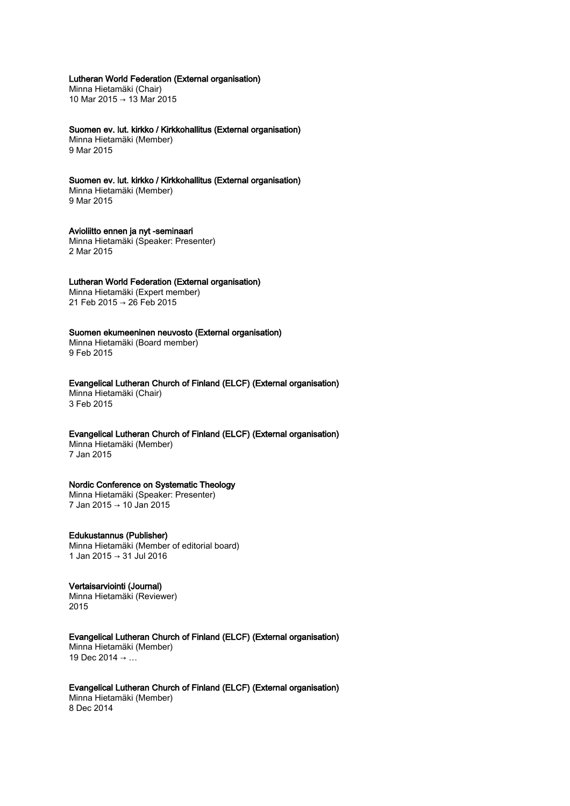Lutheran World Federation (External organisation)

Minna Hietamäki (Chair) 10 Mar 2015 → 13 Mar 2015

Suomen ev. lut. kirkko / Kirkkohallitus (External organisation) Minna Hietamäki (Member) 9 Mar 2015

Suomen ev. lut. kirkko / Kirkkohallitus (External organisation) Minna Hietamäki (Member) 9 Mar 2015

Avioliitto ennen ja nyt -seminaari Minna Hietamäki (Speaker: Presenter) 2 Mar 2015

#### Lutheran World Federation (External organisation)

Minna Hietamäki (Expert member) 21 Feb 2015 → 26 Feb 2015

## Suomen ekumeeninen neuvosto (External organisation)

Minna Hietamäki (Board member) 9 Feb 2015

Evangelical Lutheran Church of Finland (ELCF) (External organisation) Minna Hietamäki (Chair) 3 Feb 2015

Evangelical Lutheran Church of Finland (ELCF) (External organisation)

Minna Hietamäki (Member) 7 Jan 2015

#### Nordic Conference on Systematic Theology

Minna Hietamäki (Speaker: Presenter) 7 Jan 2015 → 10 Jan 2015

Edukustannus (Publisher) Minna Hietamäki (Member of editorial board) 1 Jan 2015 → 31 Jul 2016

Vertaisarviointi (Journal) Minna Hietamäki (Reviewer) 2015

Evangelical Lutheran Church of Finland (ELCF) (External organisation) Minna Hietamäki (Member) 19 Dec 2014  $\rightarrow$  ...

Evangelical Lutheran Church of Finland (ELCF) (External organisation) Minna Hietamäki (Member) 8 Dec 2014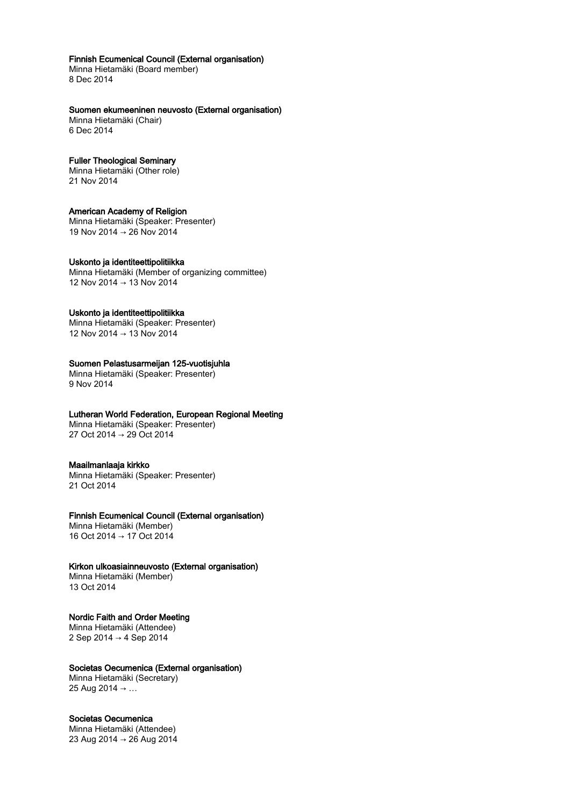## Finnish Ecumenical Council (External organisation)

Minna Hietamäki (Board member) 8 Dec 2014

## Suomen ekumeeninen neuvosto (External organisation)

Minna Hietamäki (Chair) 6 Dec 2014

#### Fuller Theological Seminary

Minna Hietamäki (Other role) 21 Nov 2014

## American Academy of Religion

Minna Hietamäki (Speaker: Presenter) 19 Nov 2014 → 26 Nov 2014

## Uskonto ja identiteettipolitiikka

Minna Hietamäki (Member of organizing committee) 12 Nov 2014 → 13 Nov 2014

## Uskonto ja identiteettipolitiikka

Minna Hietamäki (Speaker: Presenter) 12 Nov 2014 → 13 Nov 2014

## Suomen Pelastusarmeijan 125-vuotisjuhla

Minna Hietamäki (Speaker: Presenter) 9 Nov 2014

## Lutheran World Federation, European Regional Meeting

Minna Hietamäki (Speaker: Presenter) 27 Oct 2014 → 29 Oct 2014

#### Maailmanlaaja kirkko

Minna Hietamäki (Speaker: Presenter) 21 Oct 2014

## Finnish Ecumenical Council (External organisation)

Minna Hietamäki (Member) 16 Oct 2014 → 17 Oct 2014

#### Kirkon ulkoasiainneuvosto (External organisation)

Minna Hietamäki (Member) 13 Oct 2014

## Nordic Faith and Order Meeting

Minna Hietamäki (Attendee) 2 Sep 2014 → 4 Sep 2014

#### Societas Oecumenica (External organisation)

Minna Hietamäki (Secretary) 25 Aug 2014 → …

## Societas Oecumenica

Minna Hietamäki (Attendee) 23 Aug 2014 → 26 Aug 2014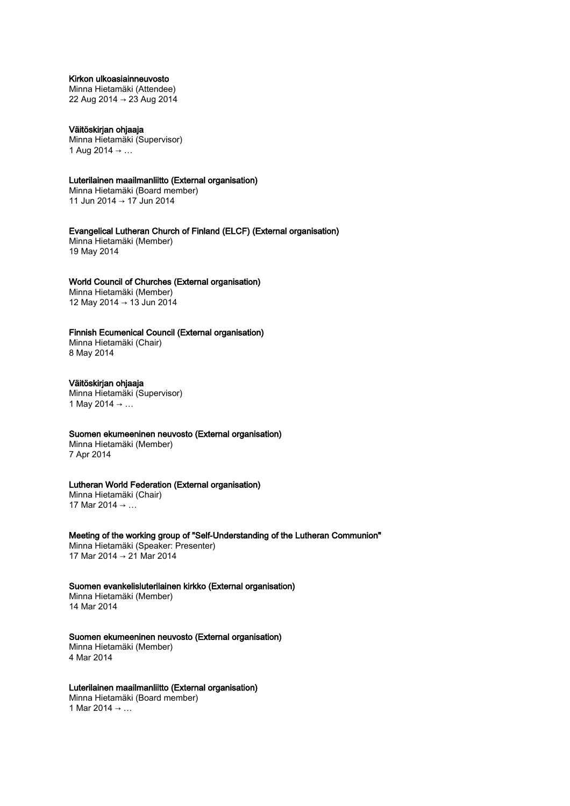## Kirkon ulkoasiainneuvosto

Minna Hietamäki (Attendee) 22 Aug 2014 → 23 Aug 2014

Väitöskirjan ohjaaja Minna Hietamäki (Supervisor) 1 Aug 2014 → ...

Luterilainen maailmanliitto (External organisation)

Minna Hietamäki (Board member) 11 Jun 2014 → 17 Jun 2014

Evangelical Lutheran Church of Finland (ELCF) (External organisation) Minna Hietamäki (Member) 19 May 2014

#### World Council of Churches (External organisation)

Minna Hietamäki (Member) 12 May 2014 → 13 Jun 2014

## Finnish Ecumenical Council (External organisation)

Minna Hietamäki (Chair) 8 May 2014

## Väitöskirjan ohjaaja

Minna Hietamäki (Supervisor) 1 May 2014 → …

## Suomen ekumeeninen neuvosto (External organisation)

Minna Hietamäki (Member) 7 Apr 2014

#### Lutheran World Federation (External organisation)

Minna Hietamäki (Chair) 17 Mar 2014 → …

Meeting of the working group of "Self-Understanding of the Lutheran Communion"

Minna Hietamäki (Speaker: Presenter) 17 Mar 2014 → 21 Mar 2014

## Suomen evankelisluterilainen kirkko (External organisation)

Minna Hietamäki (Member) 14 Mar 2014

#### Suomen ekumeeninen neuvosto (External organisation)

Minna Hietamäki (Member) 4 Mar 2014

#### Luterilainen maailmanliitto (External organisation)

Minna Hietamäki (Board member) 1 Mar 2014 → …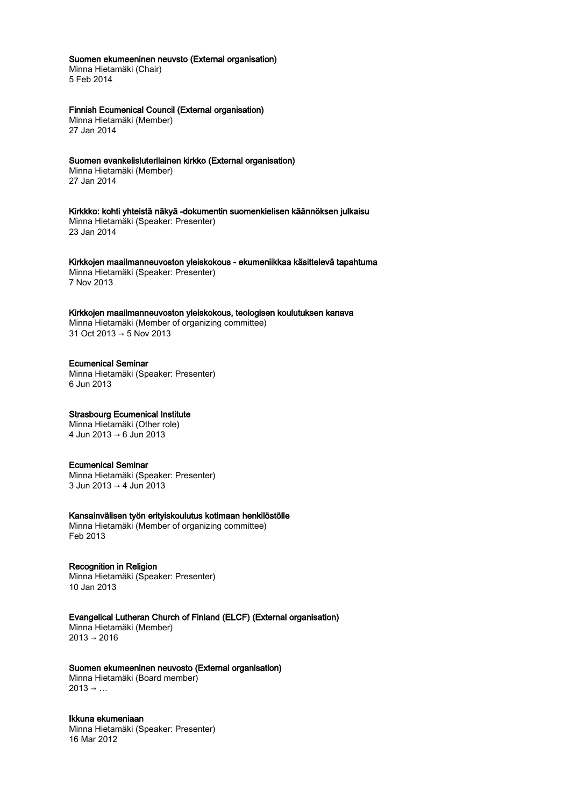## Suomen ekumeeninen neuvsto (External organisation)

Minna Hietamäki (Chair) 5 Feb 2014

## Finnish Ecumenical Council (External organisation)

Minna Hietamäki (Member) 27 Jan 2014

## Suomen evankelisluterilainen kirkko (External organisation) Minna Hietamäki (Member)

27 Jan 2014

Kirkkko: kohti yhteistä näkyä -dokumentin suomenkielisen käännöksen julkaisu Minna Hietamäki (Speaker: Presenter) 23 Jan 2014

Kirkkojen maailmanneuvoston yleiskokous - ekumeniikkaa käsittelevä tapahtuma Minna Hietamäki (Speaker: Presenter) 7 Nov 2013

Kirkkojen maailmanneuvoston yleiskokous, teologisen koulutuksen kanava Minna Hietamäki (Member of organizing committee) 31 Oct 2013 → 5 Nov 2013

## Ecumenical Seminar

Minna Hietamäki (Speaker: Presenter) 6 Jun 2013

## Strasbourg Ecumenical Institute

Minna Hietamäki (Other role) 4 Jun 2013 → 6 Jun 2013

#### Ecumenical Seminar

Minna Hietamäki (Speaker: Presenter) 3 Jun 2013 → 4 Jun 2013

#### Kansainvälisen työn erityiskoulutus kotimaan henkilöstölle

Minna Hietamäki (Member of organizing committee) Feb 2013

## Recognition in Religion

Minna Hietamäki (Speaker: Presenter) 10 Jan 2013

## Evangelical Lutheran Church of Finland (ELCF) (External organisation)

Minna Hietamäki (Member)  $2013 \rightarrow 2016$ 

#### Suomen ekumeeninen neuvosto (External organisation)

Minna Hietamäki (Board member)  $2013 \rightarrow ...$ 

## Ikkuna ekumeniaan

Minna Hietamäki (Speaker: Presenter) 16 Mar 2012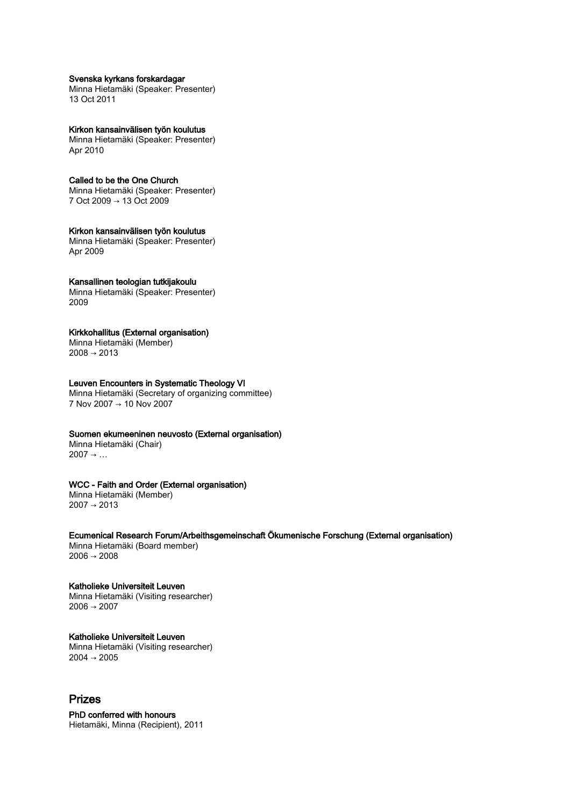#### Svenska kyrkans forskardagar

Minna Hietamäki (Speaker: Presenter) 13 Oct 2011

#### Kirkon kansainvälisen työn koulutus

Minna Hietamäki (Speaker: Presenter) Apr 2010

## Called to be the One Church

Minna Hietamäki (Speaker: Presenter) 7 Oct 2009 → 13 Oct 2009

#### Kirkon kansainvälisen työn koulutus

Minna Hietamäki (Speaker: Presenter) Apr 2009

## Kansallinen teologian tutkijakoulu

Minna Hietamäki (Speaker: Presenter) 2009

## Kirkkohallitus (External organisation)

Minna Hietamäki (Member)  $2008 \rightarrow 2013$ 

## Leuven Encounters in Systematic Theology VI

Minna Hietamäki (Secretary of organizing committee) 7 Nov 2007 → 10 Nov 2007

## Suomen ekumeeninen neuvosto (External organisation)

Minna Hietamäki (Chair)  $2007 \rightarrow ...$ 

## WCC - Faith and Order (External organisation)

Minna Hietamäki (Member) 2007 → 2013

#### Ecumenical Research Forum/Arbeithsgemeinschaft Ökumenische Forschung (External organisation)

Minna Hietamäki (Board member)  $2006 \rightarrow 2008$ 

## Katholieke Universiteit Leuven

Minna Hietamäki (Visiting researcher)  $2006 \rightarrow 2007$ 

#### Katholieke Universiteit Leuven Minna Hietamäki (Visiting researcher)  $2004 \rightarrow 2005$

# Prizes

PhD conferred with honours Hietamäki, Minna (Recipient), 2011